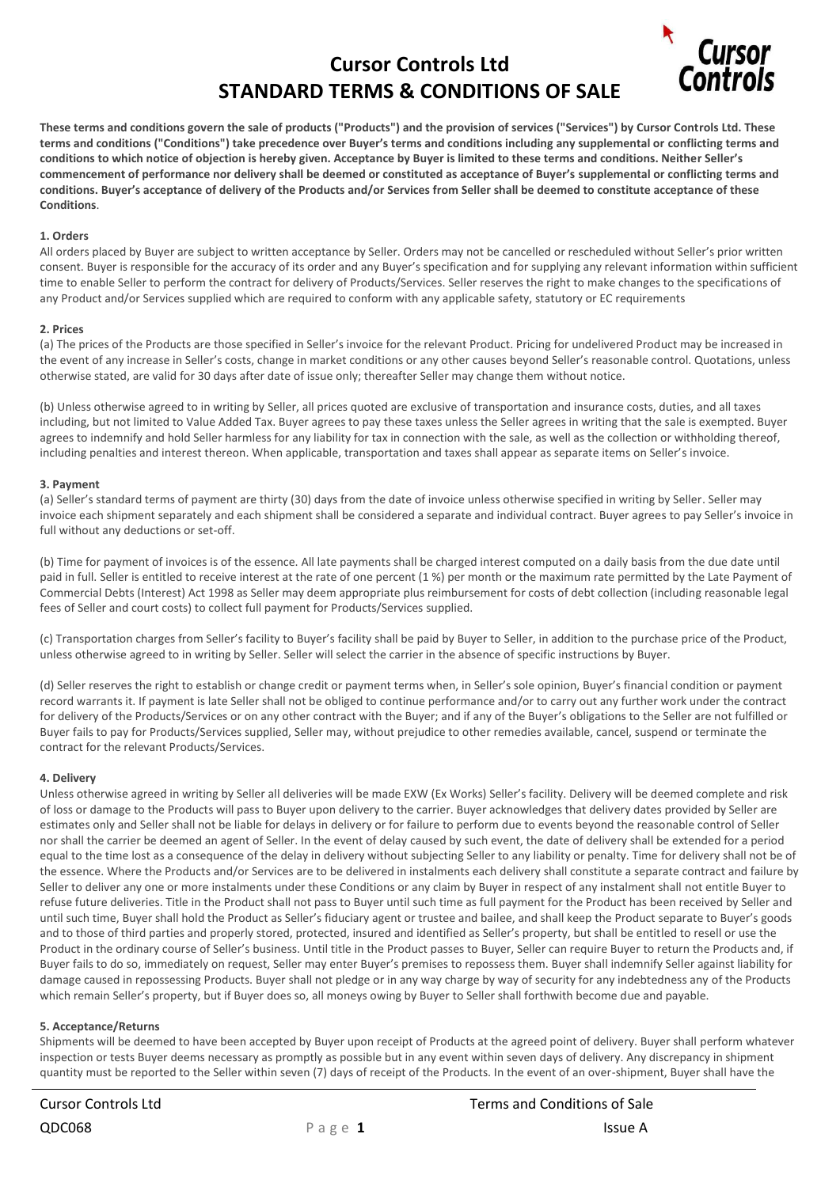# **Cursor Controls Ltd STANDARD TERMS & CONDITIONS OF SALE**



**These terms and conditions govern the sale of products ("Products") and the provision of services ("Services") by Cursor Controls Ltd. These terms and conditions ("Conditions") take precedence over Buyer's terms and conditions including any supplemental or conflicting terms and conditions to which notice of objection is hereby given. Acceptance by Buyer is limited to these terms and conditions. Neither Seller's commencement of performance nor delivery shall be deemed or constituted as acceptance of Buyer's supplemental or conflicting terms and conditions. Buyer's acceptance of delivery of the Products and/or Services from Seller shall be deemed to constitute acceptance of these Conditions**.

## **1. Orders**

All orders placed by Buyer are subject to written acceptance by Seller. Orders may not be cancelled or rescheduled without Seller's prior written consent. Buyer is responsible for the accuracy of its order and any Buyer's specification and for supplying any relevant information within sufficient time to enable Seller to perform the contract for delivery of Products/Services. Seller reserves the right to make changes to the specifications of any Product and/or Services supplied which are required to conform with any applicable safety, statutory or EC requirements

### **2. Prices**

(a) The prices of the Products are those specified in Seller's invoice for the relevant Product. Pricing for undelivered Product may be increased in the event of any increase in Seller's costs, change in market conditions or any other causes beyond Seller's reasonable control. Quotations, unless otherwise stated, are valid for 30 days after date of issue only; thereafter Seller may change them without notice.

(b) Unless otherwise agreed to in writing by Seller, all prices quoted are exclusive of transportation and insurance costs, duties, and all taxes including, but not limited to Value Added Tax. Buyer agrees to pay these taxes unless the Seller agrees in writing that the sale is exempted. Buyer agrees to indemnify and hold Seller harmless for any liability for tax in connection with the sale, as well as the collection or withholding thereof, including penalties and interest thereon. When applicable, transportation and taxes shall appear as separate items on Seller's invoice.

## **3. Payment**

(a) Seller's standard terms of payment are thirty (30) days from the date of invoice unless otherwise specified in writing by Seller. Seller may invoice each shipment separately and each shipment shall be considered a separate and individual contract. Buyer agrees to pay Seller's invoice in full without any deductions or set-off.

(b) Time for payment of invoices is of the essence. All late payments shall be charged interest computed on a daily basis from the due date until paid in full. Seller is entitled to receive interest at the rate of one percent (1 %) per month or the maximum rate permitted by the Late Payment of Commercial Debts (Interest) Act 1998 as Seller may deem appropriate plus reimbursement for costs of debt collection (including reasonable legal fees of Seller and court costs) to collect full payment for Products/Services supplied.

(c) Transportation charges from Seller's facility to Buyer's facility shall be paid by Buyer to Seller, in addition to the purchase price of the Product, unless otherwise agreed to in writing by Seller. Seller will select the carrier in the absence of specific instructions by Buyer.

(d) Seller reserves the right to establish or change credit or payment terms when, in Seller's sole opinion, Buyer's financial condition or payment record warrants it. If payment is late Seller shall not be obliged to continue performance and/or to carry out any further work under the contract for delivery of the Products/Services or on any other contract with the Buyer; and if any of the Buyer's obligations to the Seller are not fulfilled or Buyer fails to pay for Products/Services supplied, Seller may, without prejudice to other remedies available, cancel, suspend or terminate the contract for the relevant Products/Services.

# **4. Delivery**

Unless otherwise agreed in writing by Seller all deliveries will be made EXW (Ex Works) Seller's facility. Delivery will be deemed complete and risk of loss or damage to the Products will pass to Buyer upon delivery to the carrier. Buyer acknowledges that delivery dates provided by Seller are estimates only and Seller shall not be liable for delays in delivery or for failure to perform due to events beyond the reasonable control of Seller nor shall the carrier be deemed an agent of Seller. In the event of delay caused by such event, the date of delivery shall be extended for a period equal to the time lost as a consequence of the delay in delivery without subjecting Seller to any liability or penalty. Time for delivery shall not be of the essence. Where the Products and/or Services are to be delivered in instalments each delivery shall constitute a separate contract and failure by Seller to deliver any one or more instalments under these Conditions or any claim by Buyer in respect of any instalment shall not entitle Buyer to refuse future deliveries. Title in the Product shall not pass to Buyer until such time as full payment for the Product has been received by Seller and until such time, Buyer shall hold the Product as Seller's fiduciary agent or trustee and bailee, and shall keep the Product separate to Buyer's goods and to those of third parties and properly stored, protected, insured and identified as Seller's property, but shall be entitled to resell or use the Product in the ordinary course of Seller's business. Until title in the Product passes to Buyer, Seller can require Buyer to return the Products and, if Buyer fails to do so, immediately on request, Seller may enter Buyer's premises to repossess them. Buyer shall indemnify Seller against liability for damage caused in repossessing Products. Buyer shall not pledge or in any way charge by way of security for any indebtedness any of the Products which remain Seller's property, but if Buyer does so, all moneys owing by Buyer to Seller shall forthwith become due and payable.

# **5. Acceptance/Returns**

Shipments will be deemed to have been accepted by Buyer upon receipt of Products at the agreed point of delivery. Buyer shall perform whatever inspection or tests Buyer deems necessary as promptly as possible but in any event within seven days of delivery. Any discrepancy in shipment quantity must be reported to the Seller within seven (7) days of receipt of the Products. In the event of an over-shipment, Buyer shall have the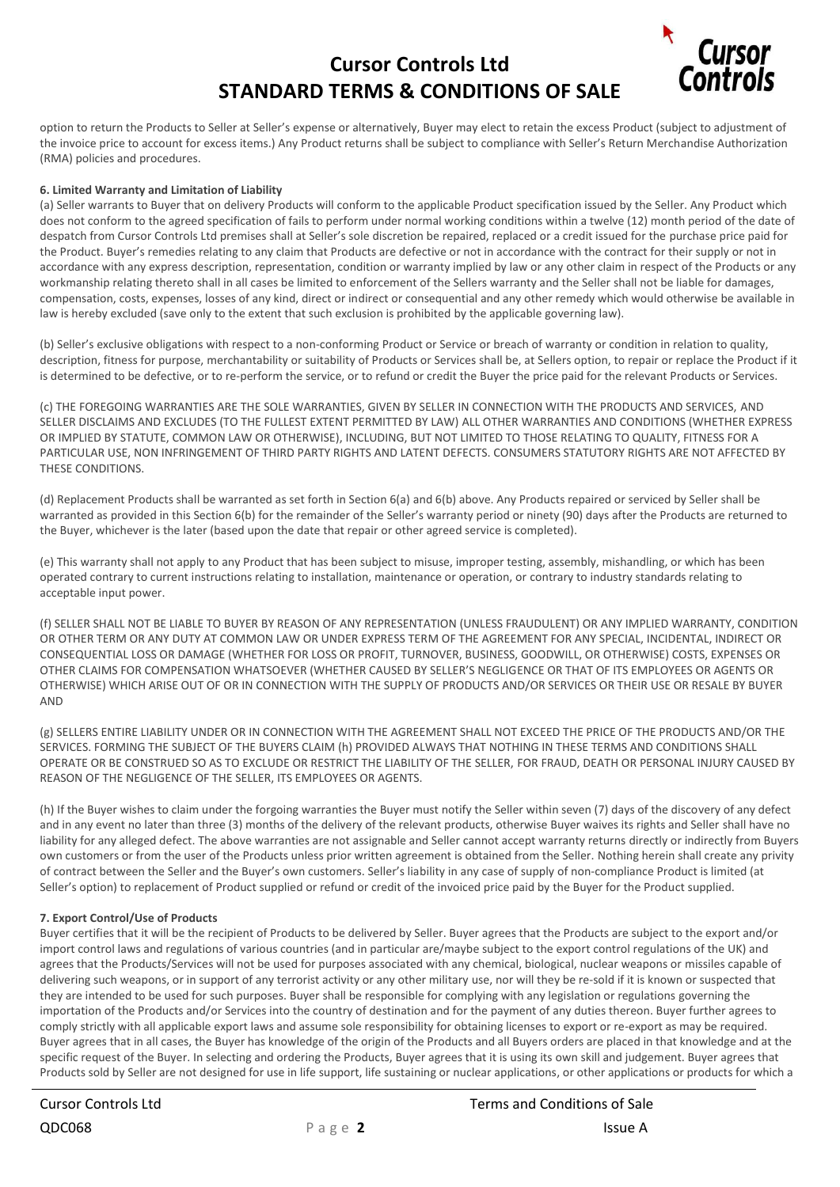# **Cursor Controls Ltd STANDARD TERMS & CONDITIONS OF SALE**



option to return the Products to Seller at Seller's expense or alternatively, Buyer may elect to retain the excess Product (subject to adjustment of the invoice price to account for excess items.) Any Product returns shall be subject to compliance with Seller's Return Merchandise Authorization (RMA) policies and procedures.

## **6. Limited Warranty and Limitation of Liability**

(a) Seller warrants to Buyer that on delivery Products will conform to the applicable Product specification issued by the Seller. Any Product which does not conform to the agreed specification of fails to perform under normal working conditions within a twelve (12) month period of the date of despatch from Cursor Controls Ltd premises shall at Seller's sole discretion be repaired, replaced or a credit issued for the purchase price paid for the Product. Buyer's remedies relating to any claim that Products are defective or not in accordance with the contract for their supply or not in accordance with any express description, representation, condition or warranty implied by law or any other claim in respect of the Products or any workmanship relating thereto shall in all cases be limited to enforcement of the Sellers warranty and the Seller shall not be liable for damages, compensation, costs, expenses, losses of any kind, direct or indirect or consequential and any other remedy which would otherwise be available in law is hereby excluded (save only to the extent that such exclusion is prohibited by the applicable governing law).

(b) Seller's exclusive obligations with respect to a non-conforming Product or Service or breach of warranty or condition in relation to quality, description, fitness for purpose, merchantability or suitability of Products or Services shall be, at Sellers option, to repair or replace the Product if it is determined to be defective, or to re-perform the service, or to refund or credit the Buyer the price paid for the relevant Products or Services.

(c) THE FOREGOING WARRANTIES ARE THE SOLE WARRANTIES, GIVEN BY SELLER IN CONNECTION WITH THE PRODUCTS AND SERVICES, AND SELLER DISCLAIMS AND EXCLUDES (TO THE FULLEST EXTENT PERMITTED BY LAW) ALL OTHER WARRANTIES AND CONDITIONS (WHETHER EXPRESS OR IMPLIED BY STATUTE, COMMON LAW OR OTHERWISE), INCLUDING, BUT NOT LIMITED TO THOSE RELATING TO QUALITY, FITNESS FOR A PARTICULAR USE, NON INFRINGEMENT OF THIRD PARTY RIGHTS AND LATENT DEFECTS. CONSUMERS STATUTORY RIGHTS ARE NOT AFFECTED BY THESE CONDITIONS.

(d) Replacement Products shall be warranted as set forth in Section 6(a) and 6(b) above. Any Products repaired or serviced by Seller shall be warranted as provided in this Section 6(b) for the remainder of the Seller's warranty period or ninety (90) days after the Products are returned to the Buyer, whichever is the later (based upon the date that repair or other agreed service is completed).

(e) This warranty shall not apply to any Product that has been subject to misuse, improper testing, assembly, mishandling, or which has been operated contrary to current instructions relating to installation, maintenance or operation, or contrary to industry standards relating to acceptable input power.

(f) SELLER SHALL NOT BE LIABLE TO BUYER BY REASON OF ANY REPRESENTATION (UNLESS FRAUDULENT) OR ANY IMPLIED WARRANTY, CONDITION OR OTHER TERM OR ANY DUTY AT COMMON LAW OR UNDER EXPRESS TERM OF THE AGREEMENT FOR ANY SPECIAL, INCIDENTAL, INDIRECT OR CONSEQUENTIAL LOSS OR DAMAGE (WHETHER FOR LOSS OR PROFIT, TURNOVER, BUSINESS, GOODWILL, OR OTHERWISE) COSTS, EXPENSES OR OTHER CLAIMS FOR COMPENSATION WHATSOEVER (WHETHER CAUSED BY SELLER'S NEGLIGENCE OR THAT OF ITS EMPLOYEES OR AGENTS OR OTHERWISE) WHICH ARISE OUT OF OR IN CONNECTION WITH THE SUPPLY OF PRODUCTS AND/OR SERVICES OR THEIR USE OR RESALE BY BUYER AND

(g) SELLERS ENTIRE LIABILITY UNDER OR IN CONNECTION WITH THE AGREEMENT SHALL NOT EXCEED THE PRICE OF THE PRODUCTS AND/OR THE SERVICES. FORMING THE SUBJECT OF THE BUYERS CLAIM (h) PROVIDED ALWAYS THAT NOTHING IN THESE TERMS AND CONDITIONS SHALL OPERATE OR BE CONSTRUED SO AS TO EXCLUDE OR RESTRICT THE LIABILITY OF THE SELLER, FOR FRAUD, DEATH OR PERSONAL INJURY CAUSED BY REASON OF THE NEGLIGENCE OF THE SELLER, ITS EMPLOYEES OR AGENTS.

(h) If the Buyer wishes to claim under the forgoing warranties the Buyer must notify the Seller within seven (7) days of the discovery of any defect and in any event no later than three (3) months of the delivery of the relevant products, otherwise Buyer waives its rights and Seller shall have no liability for any alleged defect. The above warranties are not assignable and Seller cannot accept warranty returns directly or indirectly from Buyers own customers or from the user of the Products unless prior written agreement is obtained from the Seller. Nothing herein shall create any privity of contract between the Seller and the Buyer's own customers. Seller's liability in any case of supply of non-compliance Product is limited (at Seller's option) to replacement of Product supplied or refund or credit of the invoiced price paid by the Buyer for the Product supplied.

### **7. Export Control/Use of Products**

Buyer certifies that it will be the recipient of Products to be delivered by Seller. Buyer agrees that the Products are subject to the export and/or import control laws and regulations of various countries (and in particular are/maybe subject to the export control regulations of the UK) and agrees that the Products/Services will not be used for purposes associated with any chemical, biological, nuclear weapons or missiles capable of delivering such weapons, or in support of any terrorist activity or any other military use, nor will they be re-sold if it is known or suspected that they are intended to be used for such purposes. Buyer shall be responsible for complying with any legislation or regulations governing the importation of the Products and/or Services into the country of destination and for the payment of any duties thereon. Buyer further agrees to comply strictly with all applicable export laws and assume sole responsibility for obtaining licenses to export or re-export as may be required. Buyer agrees that in all cases, the Buyer has knowledge of the origin of the Products and all Buyers orders are placed in that knowledge and at the specific request of the Buyer. In selecting and ordering the Products, Buyer agrees that it is using its own skill and judgement. Buyer agrees that Products sold by Seller are not designed for use in life support, life sustaining or nuclear applications, or other applications or products for which a